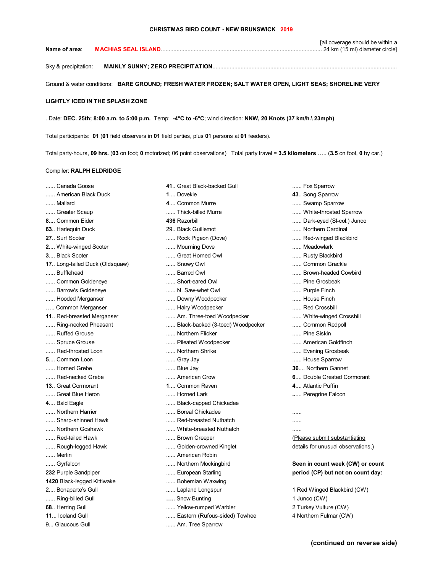[all coverage should be within a **Name of area**: **MACHIAS SEAL ISLAND**....................................................................................................... 24 km (15 mi) diameter circle]

Sky & precipitation: **MAINLY SUNNY; ZERO PRECIPITATION**......................................................................................................................

Ground & water conditions: **BARE GROUND; FRESH WATER FROZEN; SALT WATER OPEN, LIGHT SEAS; SHORELINE VERY** 

## **LIGHTLY ICED IN THE SPLASH ZONE**

. Date: **DEC. 25th; 8:00 a.m. to 5:00 p.m.** Temp: **-4°C to -6°C**; wind direction: **NNW, 20 Knots (37 km/h.\ 23mph)**

Total participants: **01** (**01** field observers in **01** field parties, plus **01** persons at **01** feeders).

Total party-hours, **09 hrs.** (**03** on foot; **0** motorized; 06 point observations) Total party travel = **3.5 kilometers** ….. (**3.5** on foot, **0** by car.)

## Compiler: **RALPH ELDRIDGE**

- 
- 
- 
- 
- 
- 
- 
- 
- 
- 
- 
- 
- 
- 
- 
- 
- 
- 
- 
- 
- 
- 
- 
- 
- 
- 
- 
- ...... Sharp-shinned Hawk ...... Red-breasted Nuthatch ......
- 
- 
- 
- 
- 
- 
- 
- 
- 
- 
- 
- 
- 
- **17**.. Long-tailed Duck (Oldsquaw) **..**.... Snowy Owl ...... Common Grackle ...... Bufflehead **....... Barred Owl ....... Barred Owl** ....... Brown-headed Cowbird ...... Common Goldeneye ....... Short-eared Owl ....... Pine Grosbeak ...... Barrow's Goldeneye ...... N. Saw-whet Owl ...... Purple Finch ...... Hooded Merganser ...... ....... Downy Woodpecker ....... House Finch ....... House Finch ….. Common Merganser ...... Hairy Woodpecker ...... Red Crossbill **11**.. Red-breasted Merganser ...... Am. Three-toed Woodpecker ...... White-winged Crossbill ...... Ring-necked Pheasant ...... Black-backed (3-toed) Woodpecker ....... Common Redpoll ...... Ruffed Grouse ...... Northern Flicker ...... Pine Siskin ...... Spruce Grouse ....... **Pileated Woodpecker ....... American Goldfinch** ....... American Goldfinch ...... Red-throated Loon ....... Northern Shrike ....... Evening Grosbeak ...... Evening Grosbeak **5**.... Common Loon **1990 ...... Common Loon** ...... Common Loon ...... House Sparrow ...... Horned Grebe ...... Blue Jay **36**.... Northern Gannet ...... Red-necked Grebe ...... American Crow **6**.... Double Crested Cormorant **13**.. Great Cormorant **1**.... Common Raven **4**.... Atlantic Puffin ...... Great Blue Heron ...... Horned Lark **..**.... Peregrine Falcon **4**.... Bald Eagle ...... Black-capped Chickadee ...... Northern Harrier ...... Boreal Chickadee ......
	-
- ...... Northern Goshawk ....... White-breasted Nuthatch .......
	-
	-
- ...... Merlin ...... American Robin
	-
	-
- **1420** Black-legged Kittiwake ...... Bohemian Waxwing
	-
- ...... Ring-billed Gull **2008 2008 2008 2008 2008 2008 2008 2008 2008 2009 2008 2009 2009 2009 2009 2009 2009 2009 2009 2009 2009 2009 2009 2009 2009 2009 2009 2009 2**
- **68**.. Herring Gull **1998 1998 1999 1999 1999 1999 1999 1999 1999 1999 1999 1999 1999 1999 1999 1999 1999 1999 1999 1999 1999 1999 1999 1999 1999 1999 1999 1999 1999**
- 11... Iceland Gull **11...** Castern (Rufous-sided) Towhee **4 Northern Fulmar (CW)** 4 Northern Fulmar (CW)
- 9... Glaucous Gull **...... Am. Tree Sparrow**
- 
- 
- 
- 
- 
- 
- 
- 
- 
- 
- 
- 
- 
- 
- 
- 
- 
- 
- 
- 
- 
- 
- 
- 
- 
- 
- 

...... Red-tailed Hawk **....... Example 20** ....... Brown Creeper **1999** (Please submit substantiating ...... Rough-legged Hawk ...... Colden-crowned Kinglet ...... details for unusual observations.)

...... Gyrfalcon **...... Northern Mockingbird ...... Seen in count week (CW) or count in count week (CW) or count 232** Purple Sandpiper *period* (CP) but not on count day:

2.... Bonaparte's Gull **..**.... Lapland Longspur 1 Red Winged Blackbird (CW)

- ...... American Black Duck **1**.... Dovekie **43**.. Song Sparrow ...... Mallard **1.... Common Murre ....... Swamp Sparrow** ...... Swamp Sparrow ...... Greater Scaup ....... Thick-billed Murre ....... Thick-billed Murre ....... White-throated Sparrow **8....** Common Eider **136** Razorbill **436** Razorbill **1999 120 120 120 120 120 120 120 120 120 120 120 120 120 120 120 120 120 120 120 120 120 120 120 120 120 120 120 63**.. Harlequin Duck 29.. Black Guillemot ...... Northern Cardinal **27**.. Surf Scoter **1988** ...... Rock Pigeon (Dove) **....... Red-winged Blackbird 2**.... White-winged Scoter ...... Mourning Dove ...... Meadowlark **3.... Black Scoter ....... Great Horned Owl ...... Great Horned Owl ...... Rusty Blackbird**
- ...... Canada Goose **1992 A. S. A. Great Black-backed Gull** ...... Fox Sparrow